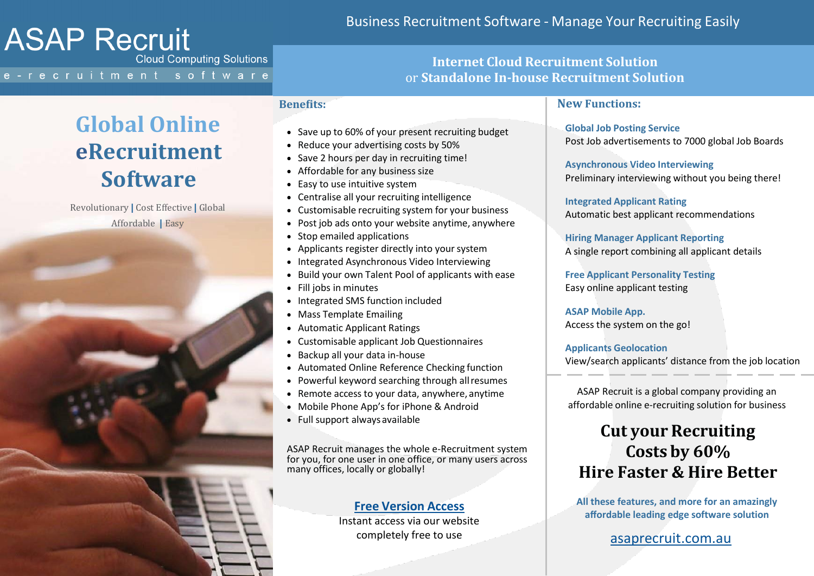# **ASAP Recruit**

e-recruitment software

# Business Recruitment Software - Manage Your Recruiting Easily

### **Internet Cloud Recruitment Solution** or **Standalone In-house Recruitment Solution**

# **Global Online eRecruitment Software**

Revolutionary **|** Cost Effective **|** Global Affordable **|** Easy

#### **Benefits:**

- Save up to 60% of your present recruiting budget
- Reduce your advertising costs by 50%
- Save 2 hours per day in recruiting time!
- Affordable for any business size
- Easy to use intuitive system
- Centralise all your recruiting intelligence
- Customisable recruiting system for your business
- Post job ads onto your website anytime, anywhere
- Stop emailed applications
- Applicants register directly into your system
- Integrated Asynchronous Video Interviewing
- Build your own Talent Pool of applicants with ease
- Fill jobs in minutes
- Integrated SMS function included
- Mass Template Emailing
- Automatic Applicant Ratings
- Customisable applicant Job Questionnaires
- Backup all your data in-house
- Automated Online Reference Checking function
- Powerful keyword searching through allresumes
- Remote access to your data, anywhere, anytime
- Mobile Phone App's for iPhone & Android
- Full support alwaysavailable

ASAP Recruit manages the whole e-Recruitment system for you, for one user in one office, or many users across many offices, locally or globally!

## **Free [Version](https://asaprecruit.com.au/asap/freeAccess.html) Access**

Instant access via our website completely free to use

#### **New Functions:**

**Global Job Posting Service** Post Job advertisements to 7000 global Job Boards

**Asynchronous Video Interviewing** Preliminary interviewing without you being there!

**Integrated Applicant Rating** Automatic best applicant recommendations

#### **Hiring Manager Applicant Reporting** A single report combining all applicant details

**Free Applicant Personality Testing** Easy online applicant testing

**ASAP Mobile App.** Access the system on the go!

**Applicants Geolocation** View/search applicants' distance from the job location

ASAP Recruit is a global company providing an affordable online e-recruiting solution for business

# **Cut your Recruiting Costs by 60% Hire Faster & Hire Better**

**All these features, and more for an amazingly affordable leading edge software solution**

[asaprecruit.com.au](https://asaprecruit.com.au/)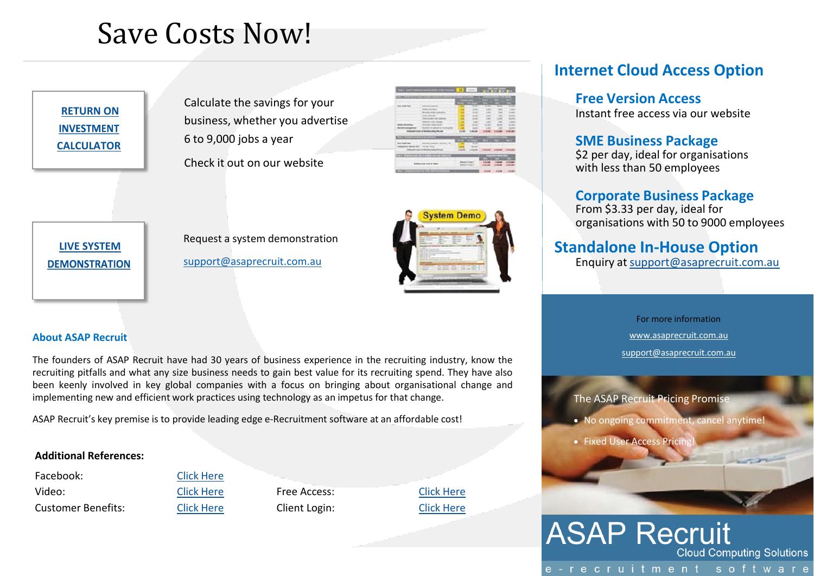# Save Costs Now!



Calculate the savings for your business, whether you advertise 6 to 9,000 jobs a year Check it out on our website



# **LIVE [SYSTEM](https://asaprecruit.com.au/) DEMONSTRATION**

Request a system demonstration [support@asaprecruit.com.au](mailto:support@asaprecruit.com.au)



#### **About ASAP Recruit**

The founders of ASAP Recruit have had 30 years of business experience in the recruiting industry, know the recruiting pitfalls and what any size business needs to gain best value for its recruiting spend. They have also been keenly involved in key global companies with a focus on bringing about organisational change and implementing new and efficient work practices using technology as an impetus for that change.

ASAP Recruit's key premise is to provide leading edge e-Recruitment software at an affordable cost!

#### **Additional References:**

| Facebook:                 |  |
|---------------------------|--|
| Video:                    |  |
| <b>Customer Benefits:</b> |  |

**Click [Here](http://www.facebook.com/asaprecruit.com.au) Click [Here](https://asaprecruit.com.au/video/ASAP-Intro.mp4) Click [Here](https://asaprecruit.com.au/wp-content/uploads/ASAP-Recruit-Customer-Benefits-V20.pdf)** 

Free Access: Click [Here](https://asaprecruit.com.au/asap/freeAccess.html) Client Login: Click [Here](https://asaprecruit.com.au/asap/login.php)

# **Internet Cloud Access Option**

**Free Version Access** Instant free access via our website

### **SME Business Package**

\$2 per day, ideal for organisations with less than 50 employees

**Corporate Business Package**

From \$3.33 per day, ideal for organisations with 50 to 9000 employees

# **Standalone In-House Option**

Enquiry at [support@asaprecruit.com.au](mailto:support@asaprecruit.com.au)

For more information [www.asaprecruit.com.au](http://www.asaprecruit.com.au/) [support@asaprecruit.com.au](mailto:support@asaprecruit.com.au)

The ASAP Recruit Pricing Promise

• No ongoing commitment, cancel anytime!

• Fixed User Access Pricing

# **ASAP Recruit Cloud Computing Solutions**

e-recruitment software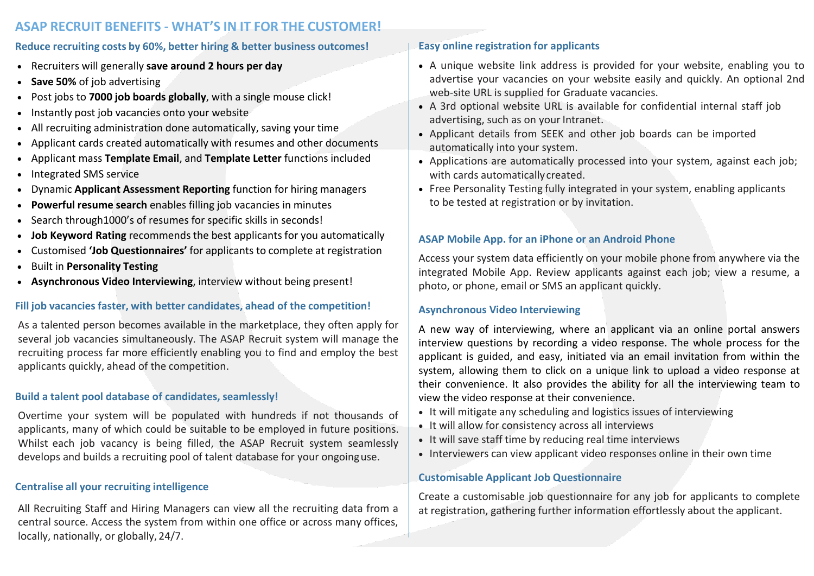#### **ASAP RECRUIT BENEFITS - WHAT'S IN IT FOR THE CUSTOMER!**

#### **Reduce recruiting costs by 60%, better hiring & better business outcomes!**

- Recruiters will generally **save around 2 hours per day**
- **Save 50%** of job advertising
- Post jobs to **7000 job boards globally**, with a single mouse click!
- Instantly post job vacancies onto your website
- All recruiting administration done automatically, saving your time
- Applicant cards created automatically with resumes and other documents
- Applicant mass **Template Email**, and **Template Letter** functions included
- Integrated SMS service
- Dynamic **Applicant Assessment Reporting** function for hiring managers
- **Powerful resume search** enables filling job vacancies in minutes
- Search through1000's of resumes for specific skills in seconds!
- **Job Keyword Rating** recommends the best applicants for you automatically
- Customised **'Job Questionnaires'** for applicants to complete at registration
- Built in **Personality Testing**
- **Asynchronous Video Interviewing**, interview without being present!

#### **Fill job vacancies faster, with better candidates, ahead of the competition!**

As a talented person becomes available in the marketplace, they often apply for several job vacancies simultaneously. The ASAP Recruit system will manage the recruiting process far more efficiently enabling you to find and employ the best applicants quickly, ahead of the competition.

#### **Build a talent pool database of candidates, seamlessly!**

Overtime your system will be populated with hundreds if not thousands of applicants, many of which could be suitable to be employed in future positions. Whilst each job vacancy is being filled, the ASAP Recruit system seamlessly develops and builds a recruiting pool of talent database for your ongoinguse.

### **Centralise all your recruiting intelligence**

All Recruiting Staff and Hiring Managers can view all the recruiting data from a central source. Access the system from within one office or across many offices, locally, nationally, or globally, 24/7.

#### **Easy online registration for applicants**

- A unique website link address is provided for your website, enabling you to advertise your vacancies on your website easily and quickly. An optional 2nd web-site URL is supplied for Graduate vacancies.
- A 3rd optional website URL is available for confidential internal staff job advertising, such as on your Intranet.
- Applicant details from SEEK and other job boards can be imported automatically into your system.
- Applications are automatically processed into your system, against each job; with cards automatically created.
- Free Personality Testing fully integrated in your system, enabling applicants to be tested at registration or by invitation.

#### **ASAP Mobile App. for an iPhone or an Android Phone**

Access your system data efficiently on your mobile phone from anywhere via the integrated Mobile App. Review applicants against each job; view a resume, a photo, or phone, email or SMS an applicant quickly.

#### **Asynchronous Video Interviewing**

A new way of interviewing, where an applicant via an online portal answers interview questions by recording a video response. The whole process for the applicant is guided, and easy, initiated via an email invitation from within the system, allowing them to click on a unique link to upload a video response at their convenience. It also provides the ability for all the interviewing team to view the video response at their convenience.

- It will mitigate any scheduling and logistics issues of interviewing
- It will allow for consistency across all interviews
- It will save staff time by reducing real time interviews
- Interviewers can view applicant video responses online in their own time

#### **Customisable Applicant Job Questionnaire**

Create a customisable job questionnaire for any job for applicants to complete at registration, gathering further information effortlessly about the applicant.